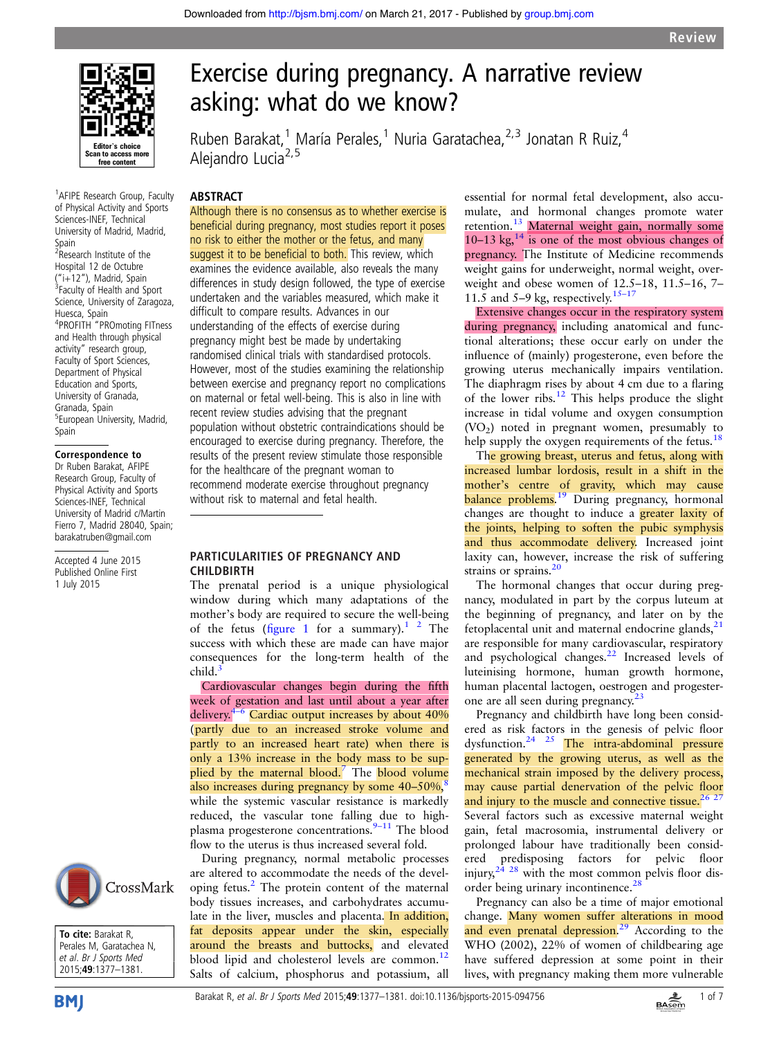

<sup>1</sup> AFIPE Research Group, Faculty of Physical Activity and Sports Sciences-INEF, Technical University of Madrid, Madrid, Spain <sup>2</sup>Research Institute of the Hospital 12 de Octubre ("i+12"), Madrid, Spain <sup>3</sup> <sup>3</sup> Faculty of Health and Sport Science, University of Zaragoza, Huesca, Spain 4 PROFITH "PROmoting FITness and Health through physical activity" research group, Faculty of Sport Sciences, Department of Physical Education and Sports, University of Granada, Granada, Spain 5 European University, Madrid, Spain

# Correspondence to

Dr Ruben Barakat, AFIPE Research Group, Faculty of Physical Activity and Sports Sciences-INEF, Technical University of Madrid c/Martin Fierro 7, Madrid 28040, Spain; barakatruben@gmail.com

Accepted 4 June 2015 Published Online First 1 July 2015





# Exercise during pregnancy. A narrative review asking: what do we know?

Ruben Barakat,<sup>1</sup> María Perales,<sup>1</sup> Nuria Garatachea,<sup>2,3</sup> Jonatan R Ruiz,<sup>4</sup> Alejandro Lucia<sup>2,5</sup>

# ABSTRACT

Although there is no consensus as to whether exercise is beneficial during pregnancy, most studies report it poses no risk to either the mother or the fetus, and many suggest it to be beneficial to both. This review, which examines the evidence available, also reveals the many differences in study design followed, the type of exercise undertaken and the variables measured, which make it difficult to compare results. Advances in our understanding of the effects of exercise during pregnancy might best be made by undertaking randomised clinical trials with standardised protocols. However, most of the studies examining the relationship between exercise and pregnancy report no complications on maternal or fetal well-being. This is also in line with recent review studies advising that the pregnant population without obstetric contraindications should be encouraged to exercise during pregnancy. Therefore, the results of the present review stimulate those responsible for the healthcare of the pregnant woman to recommend moderate exercise throughout pregnancy without risk to maternal and fetal health.

#### PARTICULARITIES OF PREGNANCY AND **CHILDRIRTH**

The prenatal period is a unique physiological window during which many adaptations of the mother's body are required to secure the well-being of the fetus (fi[gure 1](#page-1-0) for a summary).<sup>1</sup> <sup>2</sup> The success with which these are made can have major consequences for the long-term health of the child.

Cardiovascular changes begin during the fifth week of gestation and last until about a year after delivery. $4-6$  $4-6$  Cardiac output increases by about  $40\%$ (partly due to an increased stroke volume and partly to an increased heart rate) when there is only a 13% increase in the body mass to be sup-plied by the maternal blood.<sup>[7](#page-4-0)</sup> The blood volume also increases during pregnancy by some  $40-50\%$ , while the systemic vascular resistance is markedly reduced, the vascular tone falling due to high-plasma progesterone concentrations.<sup>9-[11](#page-4-0)</sup> The blood flow to the uterus is thus increased several fold.

During pregnancy, normal metabolic processes are altered to accommodate the needs of the devel-oping fetus.<sup>[2](#page-4-0)</sup> The protein content of the maternal body tissues increases, and carbohydrates accumulate in the liver, muscles and placenta. In addition, fat deposits appear under the skin, especially around the breasts and buttocks, and elevated blood lipid and cholesterol levels are common.<sup>[12](#page-4-0)</sup> Salts of calcium, phosphorus and potassium, all

essential for normal fetal development, also accumulate, and hormonal changes promote water retention.<sup>[13](#page-4-0)</sup> Maternal weight gain, normally some 10–13 kg, $^{14}$  is one of the most obvious changes of pregnancy. The Institute of Medicine recommends weight gains for underweight, normal weight, overweight and obese women of 12.5–18, 11.5–16, 7– 11.5 and 5–9 kg, respectively.<sup>[15](#page-4-0)–17</sup>

Extensive changes occur in the respiratory system during pregnancy, including anatomical and functional alterations; these occur early on under the influence of (mainly) progesterone, even before the growing uterus mechanically impairs ventilation. The diaphragm rises by about 4 cm due to a flaring of the lower ribs.[12](#page-4-0) This helps produce the slight increase in tidal volume and oxygen consumption  $(VO<sub>2</sub>)$  noted in pregnant women, presumably to help supply the oxygen requirements of the fetus.<sup>[18](#page-4-0)</sup>

The growing breast, uterus and fetus, along with increased lumbar lordosis, result in a shift in the mother's centre of gravity, which may cause balance problems.<sup>[19](#page-4-0)</sup> During pregnancy, hormonal changes are thought to induce a **greater laxity of** the joints, helping to soften the pubic symphysis and thus accommodate delivery. Increased joint laxity can, however, increase the risk of suffering strains or sprains.<sup>[20](#page-4-0)</sup>

The hormonal changes that occur during pregnancy, modulated in part by the corpus luteum at the beginning of pregnancy, and later on by the fetoplacental unit and maternal endocrine glands, $21$ are responsible for many cardiovascular, respiratory and psychological changes.<sup>22</sup> Increased levels of luteinising hormone, human growth hormone, human placental lactogen, oestrogen and progester-one are all seen during pregnancy.<sup>[23](#page-4-0)</sup>

Pregnancy and childbirth have long been considered as risk factors in the genesis of pelvic floor dysfunction[.24 25](#page-4-0) The intra-abdominal pressure generated by the growing uterus, as well as the mechanical strain imposed by the delivery process, may cause partial denervation of the pelvic floor and injury to the muscle and connective tissue.<sup>26,2</sup> Several factors such as excessive maternal weight gain, fetal macrosomia, instrumental delivery or prolonged labour have traditionally been consid-

ered predisposing factors for pelvic floor injury,  $2^{\frac{3}{4} \times 28}$  with the most common pelvis floor disorder being urinary incontinence.<sup>26</sup> Pregnancy can also be a time of major emotional

change. Many women suffer alterations in mood and even prenatal depression.<sup>[29](#page-4-0)</sup> According to the WHO (2002), 22% of women of childbearing age have suffered depression at some point in their lives, with pregnancy making them more vulnerable

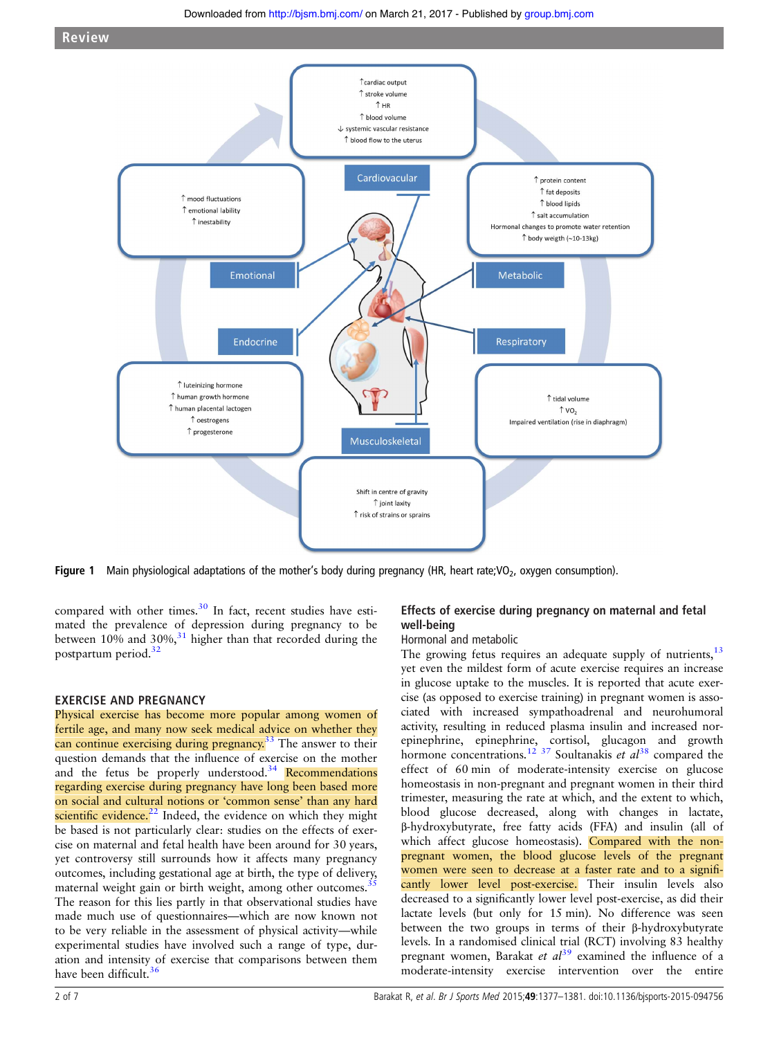<span id="page-1-0"></span>

**Figure 1** Main physiological adaptations of the mother's body during pregnancy (HR, heart rate;  $V_2$ , oxygen consumption).

compared with other times. $30$  In fact, recent studies have estimated the prevalence of depression during pregnancy to be between  $10\%$  and  $30\%$ ,<sup>[31](#page-4-0)</sup> higher than that recorded during the postpartum period.<sup>[32](#page-5-0)</sup>

# EXERCISE AND PREGNANCY

Physical exercise has become more popular among women of fertile age, and many now seek medical advice on whether they can continue exercising during pregnancy.<sup>[33](#page-5-0)</sup> The answer to their question demands that the influence of exercise on the mother and the fetus be properly understood.<sup>[34](#page-5-0)</sup> Recommendations regarding exercise during pregnancy have long been based more on social and cultural notions or 'common sense' than any hard scientific evidence.<sup>[22](#page-4-0)</sup> Indeed, the evidence on which they might be based is not particularly clear: studies on the effects of exercise on maternal and fetal health have been around for 30 years, yet controversy still surrounds how it affects many pregnancy outcomes, including gestational age at birth, the type of delivery, maternal weight gain or birth weight, among other outcomes.<sup>3</sup> The reason for this lies partly in that observational studies have made much use of questionnaires—which are now known not to be very reliable in the assessment of physical activity—while experimental studies have involved such a range of type, duration and intensity of exercise that comparisons between them have been difficult.<sup>36</sup>

# Effects of exercise during pregnancy on maternal and fetal well-being

# Hormonal and metabolic

The growing fetus requires an adequate supply of nutrients,  $13$ yet even the mildest form of acute exercise requires an increase in glucose uptake to the muscles. It is reported that acute exercise (as opposed to exercise training) in pregnant women is associated with increased sympathoadrenal and neurohumoral activity, resulting in reduced plasma insulin and increased norepinephrine, epinephrine, cortisol, glucagon and growth hormone concentrations.<sup>[12](#page-4-0) [37](#page-5-0)</sup> Soultanakis et  $al^{38}$  $al^{38}$  $al^{38}$  compared the effect of 60 min of moderate-intensity exercise on glucose homeostasis in non-pregnant and pregnant women in their third trimester, measuring the rate at which, and the extent to which, blood glucose decreased, along with changes in lactate, β-hydroxybutyrate, free fatty acids (FFA) and insulin (all of which affect glucose homeostasis). Compared with the nonpregnant women, the blood glucose levels of the pregnant women were seen to decrease at a faster rate and to a significantly lower level post-exercise. Their insulin levels also decreased to a significantly lower level post-exercise, as did their lactate levels (but only for 15 min). No difference was seen between the two groups in terms of their β-hydroxybutyrate levels. In a randomised clinical trial (RCT) involving 83 healthy pregnant women, Barakat et  $al<sup>39</sup>$  $al<sup>39</sup>$  $al<sup>39</sup>$  examined the influence of a moderate-intensity exercise intervention over the entire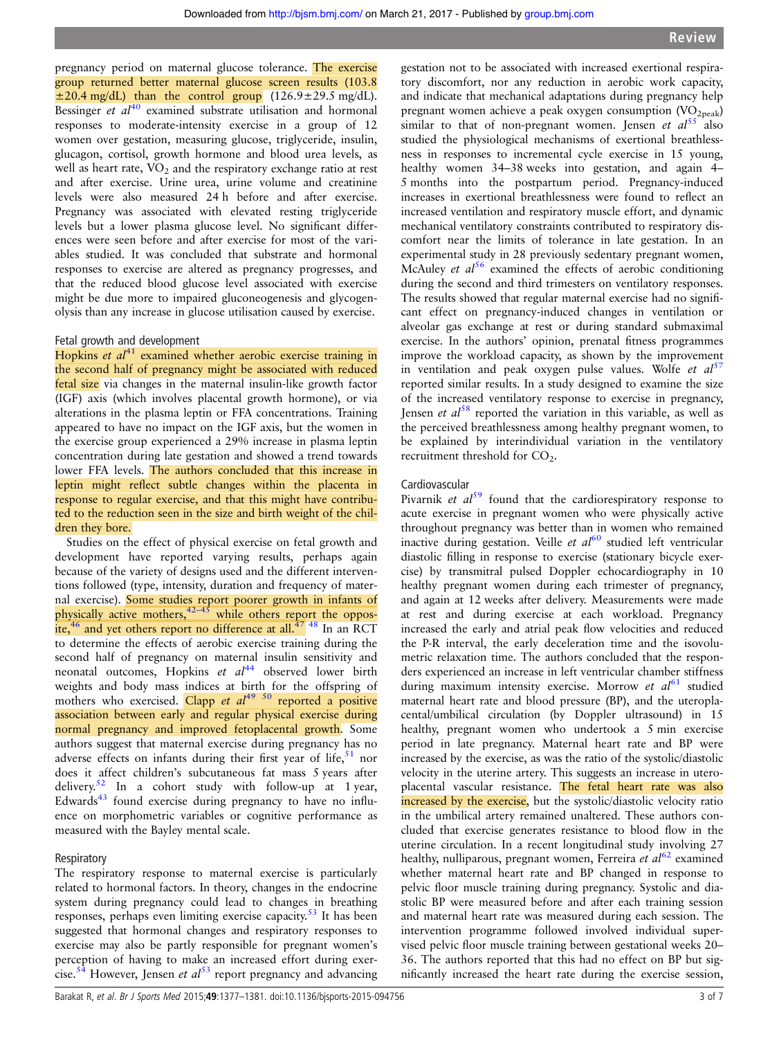pregnancy period on maternal glucose tolerance. The exercise group returned better maternal glucose screen results (103.8  $\pm$ 20.4 mg/dL) than the control group (126.9 $\pm$ 29.5 mg/dL). Bessinger  $et$   $al^{40}$  $al^{40}$  $al^{40}$  examined substrate utilisation and hormonal responses to moderate-intensity exercise in a group of 12 women over gestation, measuring glucose, triglyceride, insulin, glucagon, cortisol, growth hormone and blood urea levels, as well as heart rate,  $\overline{VO}_2$  and the respiratory exchange ratio at rest and after exercise. Urine urea, urine volume and creatinine levels were also measured 24 h before and after exercise. Pregnancy was associated with elevated resting triglyceride levels but a lower plasma glucose level. No significant differences were seen before and after exercise for most of the variables studied. It was concluded that substrate and hormonal responses to exercise are altered as pregnancy progresses, and that the reduced blood glucose level associated with exercise might be due more to impaired gluconeogenesis and glycogenolysis than any increase in glucose utilisation caused by exercise.

# Fetal growth and development

Hopkins et  $al<sup>41</sup>$  $al<sup>41</sup>$  $al<sup>41</sup>$  examined whether aerobic exercise training in the second half of pregnancy might be associated with reduced fetal size via changes in the maternal insulin-like growth factor (IGF) axis (which involves placental growth hormone), or via alterations in the plasma leptin or FFA concentrations. Training appeared to have no impact on the IGF axis, but the women in the exercise group experienced a 29% increase in plasma leptin concentration during late gestation and showed a trend towards lower FFA levels. The authors concluded that this increase in leptin might reflect subtle changes within the placenta in response to regular exercise, and that this might have contributed to the reduction seen in the size and birth weight of the children they bore.

Studies on the effect of physical exercise on fetal growth and development have reported varying results, perhaps again because of the variety of designs used and the different interventions followed (type, intensity, duration and frequency of maternal exercise). Some studies report poorer growth in infants of physically active mothers,  $42-45$  $42-45$  while others report the opposite, $46$  and yet others report no difference at all. $47$   $48$  In an RCT to determine the effects of aerobic exercise training during the second half of pregnancy on maternal insulin sensitivity and neonatal outcomes, Hopkins et  $al^{44}$  $al^{44}$  $al^{44}$  observed lower birth weights and body mass indices at birth for the offspring of mothers who exercised. Clapp et  $al^{49}$  <sup>50</sup> reported a positive association between early and regular physical exercise during normal pregnancy and improved fetoplacental growth. Some authors suggest that maternal exercise during pregnancy has no adverse effects on infants during their first year of life,  $51$  nor does it affect children's subcutaneous fat mass 5 years after delivery.<sup>[52](#page-5-0)</sup> In a cohort study with follow-up at 1 year, Edwards[43](#page-5-0) found exercise during pregnancy to have no influence on morphometric variables or cognitive performance as measured with the Bayley mental scale.

#### **Respiratory**

The respiratory response to maternal exercise is particularly related to hormonal factors. In theory, changes in the endocrine system during pregnancy could lead to changes in breathing responses, perhaps even limiting exercise capacity.<sup>[53](#page-5-0)</sup> It has been suggested that hormonal changes and respiratory responses to exercise may also be partly responsible for pregnant women's perception of having to make an increased effort during exer-cise.<sup>[54](#page-5-0)</sup> However, Jensen et  $al^{53}$  $al^{53}$  $al^{53}$  report pregnancy and advancing

gestation not to be associated with increased exertional respiratory discomfort, nor any reduction in aerobic work capacity, and indicate that mechanical adaptations during pregnancy help pregnant women achieve a peak oxygen consumption  $(VO<sub>2peak</sub>)$ similar to that of non-pregnant women. Jensen et  $al^{55}$  $al^{55}$  $al^{55}$  also studied the physiological mechanisms of exertional breathlessness in responses to incremental cycle exercise in 15 young, healthy women 34–38 weeks into gestation, and again 4– 5 months into the postpartum period. Pregnancy-induced increases in exertional breathlessness were found to reflect an increased ventilation and respiratory muscle effort, and dynamic mechanical ventilatory constraints contributed to respiratory discomfort near the limits of tolerance in late gestation. In an experimental study in 28 previously sedentary pregnant women, McAuley et  $al^{56}$  $al^{56}$  $al^{56}$  examined the effects of aerobic conditioning during the second and third trimesters on ventilatory responses. The results showed that regular maternal exercise had no significant effect on pregnancy-induced changes in ventilation or alveolar gas exchange at rest or during standard submaximal exercise. In the authors' opinion, prenatal fitness programmes improve the workload capacity, as shown by the improvement in ventilation and peak oxygen pulse values. Wolfe *et*  $aI^{57}$  $aI^{57}$  $aI^{57}$ reported similar results. In a study designed to examine the size of the increased ventilatory response to exercise in pregnancy, Jensen et  $aI^{58}$  $aI^{58}$  $aI^{58}$  reported the variation in this variable, as well as the perceived breathlessness among healthy pregnant women, to be explained by interindividual variation in the ventilatory recruitment threshold for CO<sub>2</sub>.

# Cardiovascular

Pivarnik et  $al^{59}$  $al^{59}$  $al^{59}$  found that the cardiorespiratory response to acute exercise in pregnant women who were physically active throughout pregnancy was better than in women who remained inactive during gestation. Veille et  $al^{60}$  $al^{60}$  $al^{60}$  studied left ventricular diastolic filling in response to exercise (stationary bicycle exercise) by transmitral pulsed Doppler echocardiography in 10 healthy pregnant women during each trimester of pregnancy, and again at 12 weeks after delivery. Measurements were made at rest and during exercise at each workload. Pregnancy increased the early and atrial peak flow velocities and reduced the P-R interval, the early deceleration time and the isovolumetric relaxation time. The authors concluded that the responders experienced an increase in left ventricular chamber stiffness during maximum intensity exercise. Morrow et  $al^{61}$  $al^{61}$  $al^{61}$  studied maternal heart rate and blood pressure (BP), and the uteroplacental/umbilical circulation (by Doppler ultrasound) in 15 healthy, pregnant women who undertook a 5 min exercise period in late pregnancy. Maternal heart rate and BP were increased by the exercise, as was the ratio of the systolic/diastolic velocity in the uterine artery. This suggests an increase in uteroplacental vascular resistance. The fetal heart rate was also increased by the exercise, but the systolic/diastolic velocity ratio in the umbilical artery remained unaltered. These authors concluded that exercise generates resistance to blood flow in the uterine circulation. In a recent longitudinal study involving 27 healthy, nulliparous, pregnant women, Ferreira et  $al^{62}$  $al^{62}$  $al^{62}$  examined whether maternal heart rate and BP changed in response to pelvic floor muscle training during pregnancy. Systolic and diastolic BP were measured before and after each training session and maternal heart rate was measured during each session. The intervention programme followed involved individual supervised pelvic floor muscle training between gestational weeks 20– 36. The authors reported that this had no effect on BP but significantly increased the heart rate during the exercise session,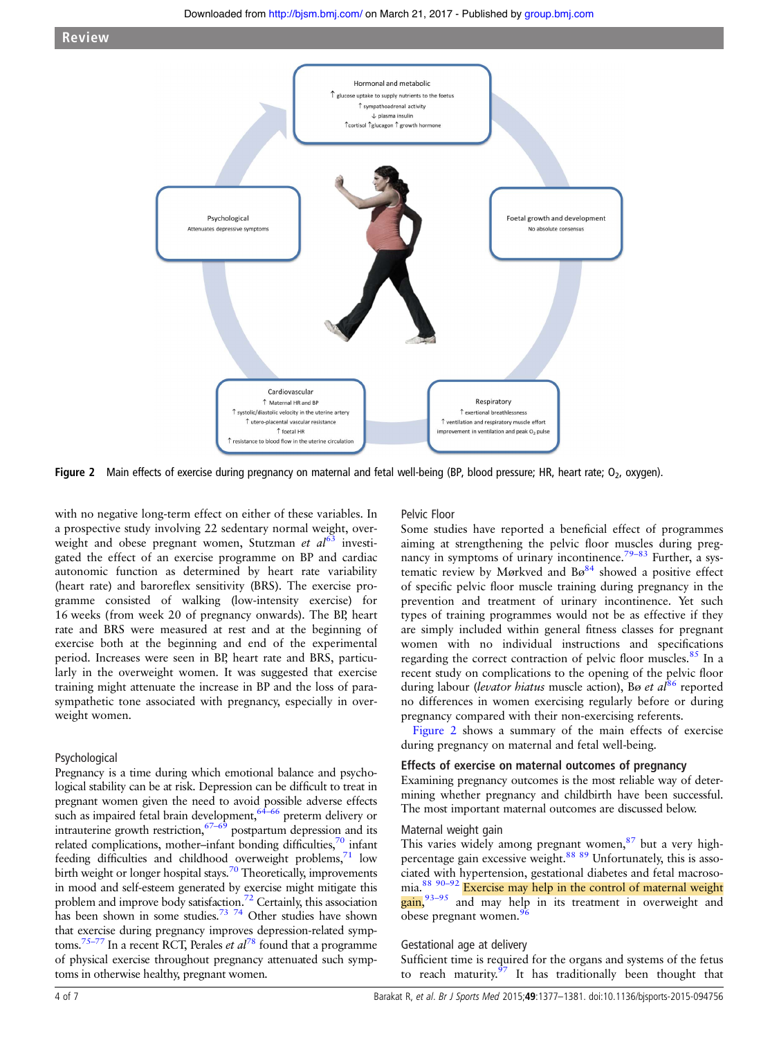

Figure 2 Main effects of exercise during pregnancy on maternal and fetal well-being (BP, blood pressure; HR, heart rate;  $O<sub>2</sub>$ , oxygen).

with no negative long-term effect on either of these variables. In a prospective study involving 22 sedentary normal weight, overweight and obese pregnant women, Stutzman et  $al^{63}$  $al^{63}$  $al^{63}$  investigated the effect of an exercise programme on BP and cardiac autonomic function as determined by heart rate variability (heart rate) and baroreflex sensitivity (BRS). The exercise programme consisted of walking (low-intensity exercise) for 16 weeks (from week 20 of pregnancy onwards). The BP, heart rate and BRS were measured at rest and at the beginning of exercise both at the beginning and end of the experimental period. Increases were seen in BP, heart rate and BRS, particularly in the overweight women. It was suggested that exercise training might attenuate the increase in BP and the loss of parasympathetic tone associated with pregnancy, especially in overweight women.

# Psychological

Pregnancy is a time during which emotional balance and psychological stability can be at risk. Depression can be difficult to treat in pregnant women given the need to avoid possible adverse effects pregnant women given the need to more that the preterm delivery or such as impaired fetal brain development,  $64-66$  preterm delivery or intrauterine growth restriction,  $67-69$  postpartum depression and its related complications, mother-infant bonding difficulties,<sup>70</sup> infant feeding difficulties and childhood overweight problems, $71$  low birth weight or longer hospital stays.<sup>70</sup> Theoretically, improvements in mood and self-esteem generated by exercise might mitigate this problem and improve body satisfaction.[72](#page-5-0) Certainly, this association has been shown in some studies.<sup>73</sup> <sup>74</sup> Other studies have shown that exercise during pregnancy improves depression-related symptoms.<sup>75–77</sup> In a recent RCT, Perales *et al*<sup>[78](#page-5-0)</sup> found that a programme of physical exercise throughout pregnancy attenuated such symptoms in otherwise healthy, pregnant women.

# Pelvic Floor

Some studies have reported a beneficial effect of programmes aiming at strengthening the pelvic floor muscles during pregnancy in symptoms of urinary incontinence.<sup>79–83</sup> Further, a systematic review by Mørkved and  $B\varnothing^{84}$  showed a positive effect of specific pelvic floor muscle training during pregnancy in the prevention and treatment of urinary incontinence. Yet such types of training programmes would not be as effective if they are simply included within general fitness classes for pregnant women with no individual instructions and specifications regarding the correct contraction of pelvic floor muscles.<sup>[85](#page-5-0)</sup> In a recent study on complications to the opening of the pelvic floor during labour (levator hiatus muscle action), Bø et  $al^{86}$  $al^{86}$  $al^{86}$  reported no differences in women exercising regularly before or during pregnancy compared with their non-exercising referents.

Figure 2 shows a summary of the main effects of exercise during pregnancy on maternal and fetal well-being.

#### Effects of exercise on maternal outcomes of pregnancy

Examining pregnancy outcomes is the most reliable way of determining whether pregnancy and childbirth have been successful. The most important maternal outcomes are discussed below.

#### Maternal weight gain

This varies widely among pregnant women,<sup>[87](#page-5-0)</sup> but a very high-percentage gain excessive weight.<sup>[88](#page-5-0)</sup> [89](#page-6-0) Unfortunately, this is associated with hypertension, gestational diabetes and fetal macrosomia.[88](#page-5-0) [90](#page-6-0)–<sup>92</sup> Exercise may help in the control of maternal weight gain,<sup>[93](#page-6-0)-95</sup> and may help in its treatment in overweight and obese pregnant women.<sup>[96](#page-6-0)</sup>

#### Gestational age at delivery

Sufficient time is required for the organs and systems of the fetus to reach maturity. $\frac{97}{1}$  $\frac{97}{1}$  $\frac{97}{1}$  It has traditionally been thought that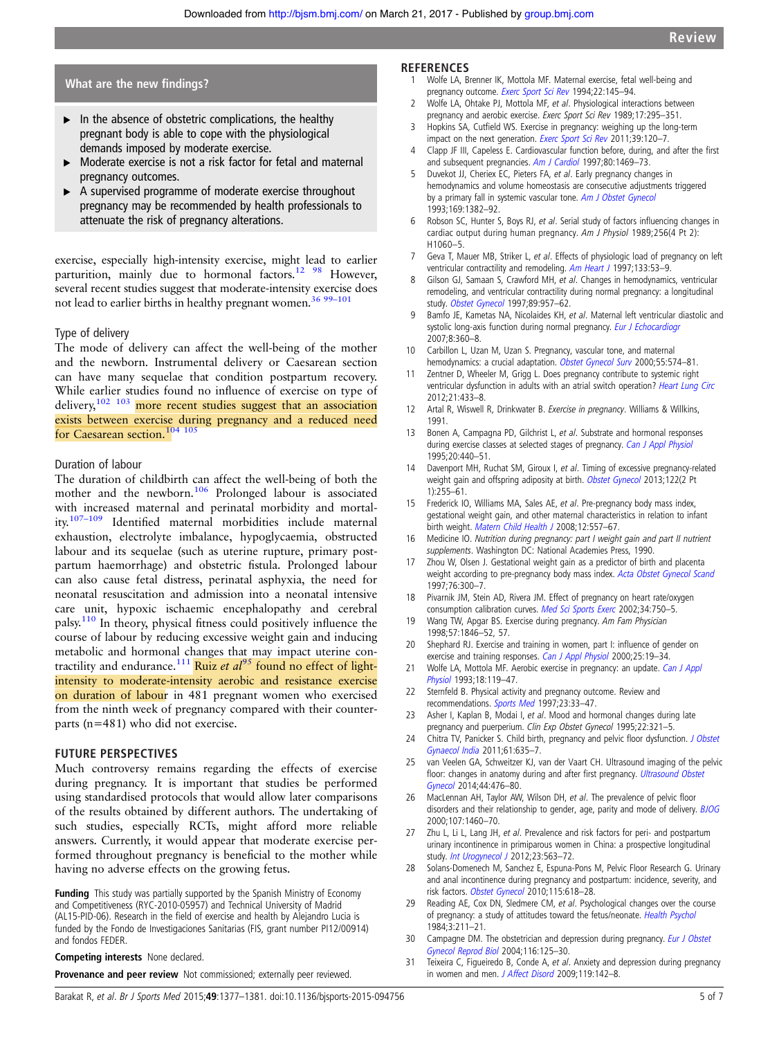# <span id="page-4-0"></span>What are the new findings?

- $\blacktriangleright$  In the absence of obstetric complications, the healthy pregnant body is able to cope with the physiological demands imposed by moderate exercise.
- Moderate exercise is not a risk factor for fetal and maternal pregnancy outcomes.
- A supervised programme of moderate exercise throughout pregnancy may be recommended by health professionals to attenuate the risk of pregnancy alterations.

exercise, especially high-intensity exercise, might lead to earlier parturition, mainly due to hormonal factors.<sup>12</sup> <sup>98</sup> However, several recent studies suggest that moderate-intensity exercise does not lead to earlier births in healthy pregnant women.<sup>[36](#page-5-0) 99-[101](#page-6-0)</sup>

# Type of delivery

The mode of delivery can affect the well-being of the mother and the newborn. Instrumental delivery or Caesarean section can have many sequelae that condition postpartum recovery. While earlier studies found no influence of exercise on type of delivery,[102 103](#page-6-0) more recent studies suggest that an association exists between exercise during pregnancy and a reduced need for Caesarean section.<sup>104</sup> <sup>105</sup>

# Duration of labour

The duration of childbirth can affect the well-being of both the mother and the newborn.<sup>[106](#page-6-0)</sup> Prolonged labour is associated with increased maternal and perinatal morbidity and mortality.107–[109](#page-6-0) Identified maternal morbidities include maternal exhaustion, electrolyte imbalance, hypoglycaemia, obstructed labour and its sequelae (such as uterine rupture, primary postpartum haemorrhage) and obstetric fistula. Prolonged labour can also cause fetal distress, perinatal asphyxia, the need for neonatal resuscitation and admission into a neonatal intensive care unit, hypoxic ischaemic encephalopathy and cerebral palsy.[110](#page-6-0) In theory, physical fitness could positively influence the course of labour by reducing excessive weight gain and inducing metabolic and hormonal changes that may impact uterine con-tractility and endurance.<sup>[111](#page-6-0)</sup> Ruiz et al<sup>[95](#page-6-0)</sup> found no effect of lightintensity to moderate-intensity aerobic and resistance exercise on duration of labour in 481 pregnant women who exercised from the ninth week of pregnancy compared with their counterparts (n=481) who did not exercise.

#### FUTURE PERSPECTIVES

Much controversy remains regarding the effects of exercise during pregnancy. It is important that studies be performed using standardised protocols that would allow later comparisons of the results obtained by different authors. The undertaking of such studies, especially RCTs, might afford more reliable answers. Currently, it would appear that moderate exercise performed throughout pregnancy is beneficial to the mother while having no adverse effects on the growing fetus.

Funding This study was partially supported by the Spanish Ministry of Economy and Competitiveness (RYC-2010-05957) and Technical University of Madrid (AL15-PID-06). Research in the field of exercise and health by Alejandro Lucia is funded by the Fondo de Investigaciones Sanitarias (FIS, grant number PI12/00914) and fondos FEDER.

Competing interests None declared.

**Provenance and peer review** Not commissioned; externally peer reviewed.

# **REFERENCES**

- 1 Wolfe LA, Brenner IK, Mottola MF. Maternal exercise, fetal well-being and pregnancy outcome. [Exerc Sport Sci Rev](http://dx.doi.org/10.1249/00003677-199401000-00008) 1994;22:145–94.
- 2 Wolfe LA, Ohtake PJ, Mottola MF, et al. Physiological interactions between pregnancy and aerobic exercise. Exerc Sport Sci Rev 1989;17:295–351.
- 3 Hopkins SA, Cutfield WS. Exercise in pregnancy: weighing up the long-term impact on the next generation. [Exerc Sport Sci Rev](http://dx.doi.org/10.1097/JES.0b013e31821a5527) 2011;39:120-7.
- 4 Clapp JF III, Capeless E. Cardiovascular function before, during, and after the first and subsequent pregnancies. [Am J Cardiol](http://dx.doi.org/10.1016/S0002-9149(97)00738-8) 1997;80:1469–73.
- Duvekot JJ, Cheriex EC, Pieters FA, et al. Early pregnancy changes in hemodynamics and volume homeostasis are consecutive adjustments triggered by a primary fall in systemic vascular tone. [Am J Obstet Gynecol](http://dx.doi.org/10.1016/0002-9378(93)90405-8) 1993;169:1382–92.
- 6 Robson SC, Hunter S, Boys RJ, et al. Serial study of factors influencing changes in cardiac output during human pregnancy. Am J Physiol 1989;256(4 Pt 2): H1060–5.
- 7 Geva T, Mauer MB, Striker L, et al. Effects of physiologic load of pregnancy on left ventricular contractility and remodeling. [Am Heart J](http://dx.doi.org/10.1016/S0002-8703(97)70247-3) 1997;133:53-9.
- 8 Gilson GJ, Samaan S, Crawford MH, et al. Changes in hemodynamics, ventricular remodeling, and ventricular contractility during normal pregnancy: a longitudinal study. [Obstet Gynecol](http://dx.doi.org/10.1016/S0029-7844(97)85765-1) 1997;89:957–62.
- Bamfo JE, Kametas NA, Nicolaides KH, et al. Maternal left ventricular diastolic and systolic long-axis function during normal pregnancy. [Eur J Echocardiogr](http://dx.doi.org/10.1016/j.euje.2006.12.004) 2007;8:360–8.
- 10 Carbillon L, Uzan M, Uzan S. Pregnancy, vascular tone, and maternal hemodynamics: a crucial adaptation. [Obstet Gynecol Surv](http://dx.doi.org/10.1097/00006254-200009000-00023) 2000;55:574-81.
- Zentner D, Wheeler M, Grigg L. Does pregnancy contribute to systemic right ventricular dysfunction in adults with an atrial switch operation? [Heart Lung Circ](http://dx.doi.org/10.1016/j.hlc.2012.04.009) 2012;21:433–8.
- 12 Artal R, Wiswell R, Drinkwater B. Exercise in pregnancy. Williams & Willkins, 1991.
- 13 Bonen A, Campagna PD, Gilchrist L, et al. Substrate and hormonal responses during exercise classes at selected stages of pregnancy. [Can J Appl Physiol](http://dx.doi.org/10.1139/h95-035) 1995;20:440–51.
- 14 Davenport MH, Ruchat SM, Giroux I, et al. Timing of excessive pregnancy-related weight gain and offspring adiposity at birth. [Obstet Gynecol](http://dx.doi.org/10.1097/AOG.0b013e31829a3b86) 2013;122(2 Pt  $1) \cdot 255 - 61$
- 15 Frederick IO, Williams MA, Sales AE, et al. Pre-pregnancy body mass index, gestational weight gain, and other maternal characteristics in relation to infant birth weight. [Matern Child Health J](http://dx.doi.org/10.1007/s10995-007-0276-2) 2008:12:557-67.
- 16 Medicine IO. Nutrition during pregnancy: part I weight gain and part II nutrient supplements. Washington DC: National Academies Press, 1990.
- 17 Zhou W, Olsen J. Gestational weight gain as a predictor of birth and placenta weight according to pre-pregnancy body mass index. [Acta Obstet Gynecol Scand](http://dx.doi.org/10.1111/j.1600-0412.1997.tb07982.x) 1997;76:300–7.
- 18 Pivarnik JM, Stein AD, Rivera JM. Effect of pregnancy on heart rate/oxygen consumption calibration curves. [Med Sci Sports Exerc](http://dx.doi.org/10.1097/00005768-200205000-00004) 2002;34:750-5.
- 19 Wang TW, Apgar BS. Exercise during pregnancy. Am Fam Physician 1998;57:1846–52, 57.
- 20 Shephard RJ. Exercise and training in women, part I: influence of gender on exercise and training responses. [Can J Appl Physiol](http://dx.doi.org/10.1139/h00-002) 2000;25:19-34.
- Wolfe LA, Mottola MF. Aerobic exercise in pregnancy: an update. [Can J Appl](http://dx.doi.org/10.1139/h93-011) [Physiol](http://dx.doi.org/10.1139/h93-011) 1993;18:119–47.
- 22 Sternfeld B. Physical activity and pregnancy outcome. Review and recommendations. [Sports Med](http://dx.doi.org/10.2165/00007256-199723010-00004) 1997;23:33–47.
- 23 Asher I, Kaplan B, Modai I, et al. Mood and hormonal changes during late pregnancy and puerperium. Clin Exp Obstet Gynecol 1995;22:321-5.
- 24 Chitra TV, Panicker S. Child birth, pregnancy and pelvic floor dysfunction. [J Obstet](http://dx.doi.org/10.1007/s13224-011-0095-7) [Gynaecol India](http://dx.doi.org/10.1007/s13224-011-0095-7) 2011;61:635–7.
- 25 van Veelen GA, Schweitzer KJ, van der Vaart CH. Ultrasound imaging of the pelvic floor: changes in anatomy during and after first pregnancy. [Ultrasound Obstet](http://dx.doi.org/10.1002/uog.13301) [Gynecol](http://dx.doi.org/10.1002/uog.13301) 2014;44:476–80.
- 26 MacLennan AH, Taylor AW, Wilson DH, et al. The prevalence of pelvic floor disorders and their relationship to gender, age, parity and mode of delivery. [BJOG](http://dx.doi.org/10.1111/j.1471-0528.2000.tb11669.x) 2000;107:1460–70.
- 27 Zhu L, Li L, Lang JH, et al. Prevalence and risk factors for peri- and postpartum urinary incontinence in primiparous women in China: a prospective longitudinal study. *[Int Urogynecol J](http://dx.doi.org/10.1007/s00192-011-1640-8)* 2012;23:563-72.
- 28 Solans-Domenech M, Sanchez E, Espuna-Pons M, Pelvic Floor Research G. Urinary and anal incontinence during pregnancy and postpartum: incidence, severity, and risk factors. [Obstet Gynecol](http://dx.doi.org/10.1097/AOG.0b013e3181d04dff) 2010;115:618-28.
- 29 Reading AE, Cox DN, Sledmere CM, et al. Psychological changes over the course of pregnancy: a study of attitudes toward the fetus/neonate. [Health Psychol](http://dx.doi.org/10.1037/0278-6133.3.3.211) 1984;3:211–21.
- 30 Campagne DM. The obstetrician and depression during pregnancy. [Eur J Obstet](http://dx.doi.org/10.1016/j.ejogrb.2003.11.028) [Gynecol Reprod Biol](http://dx.doi.org/10.1016/j.ejogrb.2003.11.028) 2004;116:125–30.
- 31 Teixeira C, Figueiredo B, Conde A, et al. Anxiety and depression during pregnancy in women and men. [J Affect Disord](http://dx.doi.org/10.1016/j.jad.2009.03.005) 2009;119:142-8.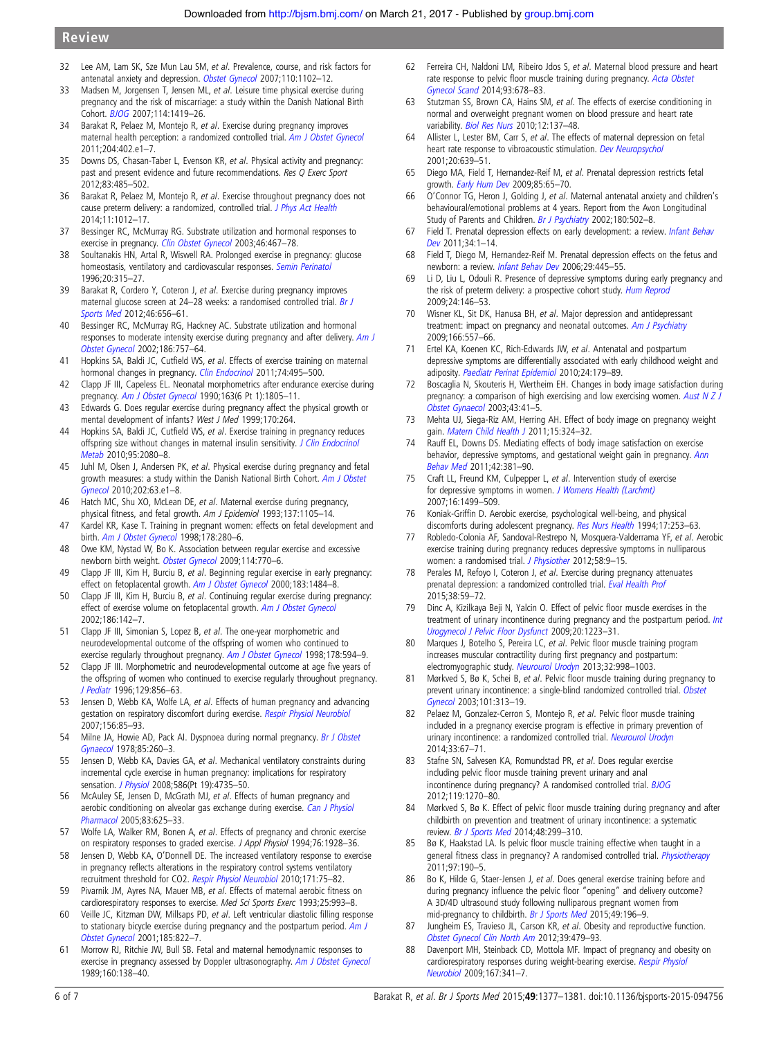- <span id="page-5-0"></span>32 Lee AM, Lam SK, Sze Mun Lau SM, et al. Prevalence, course, and risk factors for antenatal anxiety and depression. [Obstet Gynecol](http://dx.doi.org/10.1097/01.AOG.0000287065.59491.70) 2007;110:1102–12.
- 33 Madsen M, Jorgensen T, Jensen ML, et al. Leisure time physical exercise during pregnancy and the risk of miscarriage: a study within the Danish National Birth Cohort. [BJOG](http://dx.doi.org/10.1111/j.1471-0528.2007.01496.x) 2007;114:1419–26.
- 34 Barakat R, Pelaez M, Montejo R, et al. Exercise during pregnancy improves maternal health perception: a randomized controlled trial. [Am J Obstet Gynecol](http://dx.doi.org/10.1016/j.ajog.2011.01.043) 2011;204:402.e1–7.
- 35 Downs DS, Chasan-Taber L, Evenson KR, et al. Physical activity and pregnancy: past and present evidence and future recommendations. Res Q Exerc Sport 2012;83:485–502.
- 36 Barakat R, Pelaez M, Montejo R, et al. Exercise throughout pregnancy does not cause preterm delivery: a randomized, controlled trial. [J Phys Act Health](http://dx.doi.org/10.1123/jpah.2012-0344) 2014;11:1012–17.
- 37 Bessinger RC, McMurray RG. Substrate utilization and hormonal responses to exercise in pregnancy. [Clin Obstet Gynecol](http://dx.doi.org/10.1097/00003081-200306000-00025) 2003;46:467-78.
- 38 Soultanakis HN, Artal R, Wiswell RA. Prolonged exercise in pregnancy: glucose homeostasis, ventilatory and cardiovascular responses. [Semin Perinatol](http://dx.doi.org/10.1016/S0146-0005(96)80024-3) 1996;20:315–27.
- 39 Barakat R, Cordero Y, Coteron J, et al. Exercise during pregnancy improves maternal glucose screen at 24–28 weeks: a randomised controlled trial. [Br J](http://dx.doi.org/10.1136/bjsports-2011-090009) [Sports Med](http://dx.doi.org/10.1136/bjsports-2011-090009) 2012;46:656–61.
- 40 Bessinger RC, McMurray RG, Hackney AC. Substrate utilization and hormonal responses to moderate intensity exercise during pregnancy and after delivery. [Am J](http://dx.doi.org/10.1067/mob.2002.122093) [Obstet Gynecol](http://dx.doi.org/10.1067/mob.2002.122093) 2002;186:757–64.
- 41 Hopkins SA, Baldi JC, Cutfield WS, et al. Effects of exercise training on maternal hormonal changes in pregnancy. [Clin Endocrinol](http://dx.doi.org/10.1111/j.1365-2265.2010.03964.x) 2011;74:495-500.
- 42 Clapp JF III, Capeless EL. Neonatal morphometrics after endurance exercise during pregnancy. [Am J Obstet Gynecol](http://dx.doi.org/10.1016/0002-9378(90)90754-U) 1990;163(6 Pt 1):1805–11.
- 43 Edwards G. Does regular exercise during pregnancy affect the physical growth or mental development of infants? West J Med 1999;170:264.
- 44 Hopkins SA, Baldi JC, Cutfield WS, et al. Exercise training in pregnancy reduces offspring size without changes in maternal insulin sensitivity. [J Clin Endocrinol](http://dx.doi.org/10.1210/jc.2009-2255) [Metab](http://dx.doi.org/10.1210/jc.2009-2255) 2010;95:2080–8.
- 45 Juhl M, Olsen J, Andersen PK, et al. Physical exercise during pregnancy and fetal growth measures: a study within the Danish National Birth Cohort. [Am J Obstet](http://dx.doi.org/10.1016/j.ajog.2009.07.033) [Gynecol](http://dx.doi.org/10.1016/j.ajog.2009.07.033) 2010;202:63.e1–8.
- 46 Hatch MC, Shu XO, McLean DE, et al. Maternal exercise during pregnancy, physical fitness, and fetal growth. Am J Epidemiol 1993;137:1105-14.
- 47 Kardel KR, Kase T. Training in pregnant women: effects on fetal development and birth. [Am J Obstet Gynecol](http://dx.doi.org/10.1016/S0002-9378(98)80013-6) 1998;178:280-6.
- 48 Owe KM, Nystad W, Bo K. Association between regular exercise and excessive newborn birth weight. [Obstet Gynecol](http://dx.doi.org/10.1097/AOG.0b013e3181b6c105) 2009;114:770–6.
- 49 Clapp JF III, Kim H, Burciu B, et al. Beginning regular exercise in early pregnancy: effect on fetoplacental growth. [Am J Obstet Gynecol](http://dx.doi.org/10.1067/mob.2000.107096) 2000;183:1484-8.
- 50 Clapp JF III, Kim H, Burciu B, et al. Continuing regular exercise during pregnancy: effect of exercise volume on fetoplacental growth. [Am J Obstet Gynecol](http://dx.doi.org/10.1067/mob.2002.119109) 2002;186:142–7.
- 51 Clapp JF III, Simonian S, Lopez B, et al. The one-year morphometric and neurodevelopmental outcome of the offspring of women who continued to exercise regularly throughout pregnancy. [Am J Obstet Gynecol](http://dx.doi.org/10.1016/S0002-9378(98)70444-2) 1998;178:594-9.
- 52 Clapp JF III. Morphometric and neurodevelopmental outcome at age five years of the offspring of women who continued to exercise regularly throughout pregnancy. [J Pediatr](http://dx.doi.org/10.1016/S0022-3476(96)70029-X) 1996;129:856-63.
- 53 Jensen D, Webb KA, Wolfe LA, et al. Effects of human pregnancy and advancing gestation on respiratory discomfort during exercise. [Respir Physiol Neurobiol](http://dx.doi.org/10.1016/j.resp.2006.08.004) 2007;156:85–93.
- 54 Milne JA, Howie AD, Pack AI. Dyspnoea during normal pregnancy. [Br J Obstet](http://dx.doi.org/10.1111/j.1471-0528.1978.tb10497.x) [Gynaecol](http://dx.doi.org/10.1111/j.1471-0528.1978.tb10497.x) 1978;85:260–3.
- 55 Jensen D, Webb KA, Davies GA, et al. Mechanical ventilatory constraints during incremental cycle exercise in human pregnancy: implications for respiratory sensation. *[J Physiol](http://dx.doi.org/10.1113/jphysiol.2008.158154)* 2008;586(Pt 19):4735-50.
- 56 McAuley SE, Jensen D, McGrath MJ, et al. Effects of human pregnancy and aerobic conditioning on alveolar gas exchange during exercise. [Can J Physiol](http://dx.doi.org/10.1139/y05-054) [Pharmacol](http://dx.doi.org/10.1139/y05-054) 2005;83:625–33.
- 57 Wolfe LA, Walker RM, Bonen A, et al. Effects of pregnancy and chronic exercise on respiratory responses to graded exercise. J Appl Physiol 1994;76:1928–36.
- 58 Jensen D, Webb KA, O'Donnell DE. The increased ventilatory response to exercise in pregnancy reflects alterations in the respiratory control systems ventilatory recruitment threshold for CO2. [Respir Physiol Neurobiol](http://dx.doi.org/10.1016/j.resp.2010.03.009) 2010;171:75–82.
- 59 Pivarnik JM, Ayres NA, Mauer MB, et al. Effects of maternal aerobic fitness on cardiorespiratory responses to exercise. Med Sci Sports Exerc 1993;25:993–8.
- 60 Veille JC, Kitzman DW, Millsaps PD, et al. Left ventricular diastolic filling response to stationary bicycle exercise during pregnancy and the postpartum period.  $AmJ$ [Obstet Gynecol](http://dx.doi.org/10.1067/mob.2001.117312) 2001;185:822–7.
- 61 Morrow RJ, Ritchie JW, Bull SB. Fetal and maternal hemodynamic responses to exercise in pregnancy assessed by Doppler ultrasonography. [Am J Obstet Gynecol](http://dx.doi.org/10.1016/0002-9378(89)90106-3) 1989;160:138–40.
- 62 Ferreira CH, Naldoni LM, Ribeiro Jdos S, et al. Maternal blood pressure and heart rate response to pelvic floor muscle training during pregnancy. [Acta Obstet](http://dx.doi.org/10.1111/aogs.12388) [Gynecol Scand](http://dx.doi.org/10.1111/aogs.12388) 2014;93:678–83.
- 63 Stutzman SS, Brown CA, Hains SM, et al. The effects of exercise conditioning in normal and overweight pregnant women on blood pressure and heart rate variability. [Biol Res Nurs](http://dx.doi.org/10.1177/1099800410375979) 2010;12:137-48.
- 64 Allister L, Lester BM, Carr S, et al. The effects of maternal depression on fetal heart rate response to vibroacoustic stimulation. [Dev Neuropsychol](http://dx.doi.org/10.1207/S15326942DN2003_6) 2001;20:639–51.
- 65 Diego MA, Field T, Hernandez-Reif M, et al. Prenatal depression restricts fetal growth. [Early Hum Dev](http://dx.doi.org/10.1016/j.earlhumdev.2008.07.002) 2009;85:65–70.
- 66 O'Connor TG, Heron J, Golding J, et al. Maternal antenatal anxiety and children's behavioural/emotional problems at 4 years. Report from the Avon Longitudinal Study of Parents and Children. [Br J Psychiatry](http://dx.doi.org/10.1192/bjp.180.6.502) 2002;180:502-8.
- 67 Field T. Prenatal depression effects on early development: a review. [Infant Behav](http://dx.doi.org/10.1016/j.infbeh.2010.09.008) [Dev](http://dx.doi.org/10.1016/j.infbeh.2010.09.008) 2011;34:1–14.
- 68 Field T, Diego M, Hernandez-Reif M. Prenatal depression effects on the fetus and newborn: a review. [Infant Behav Dev](http://dx.doi.org/10.1016/j.infbeh.2006.03.003) 2006;29:445-55.
- 69 Li D, Liu L, Odouli R. Presence of depressive symptoms during early pregnancy and the risk of preterm delivery: a prospective cohort study. [Hum Reprod](http://dx.doi.org/10.1093/humrep/den342) 2009;24:146–53.
- 70 Wisner KL, Sit DK, Hanusa BH, et al. Major depression and antidepressant treatment: impact on pregnancy and neonatal outcomes. [Am J Psychiatry](http://dx.doi.org/10.1176/appi.ajp.2008.08081170) 2009;166:557–66.
- Ertel KA, Koenen KC, Rich-Edwards JW, et al. Antenatal and postpartum depressive symptoms are differentially associated with early childhood weight and adiposity. [Paediatr Perinat Epidemiol](http://dx.doi.org/10.1111/j.1365-3016.2010.01098.x) 2010;24:179–89.
- 72 Boscaglia N, Skouteris H, Wertheim EH. Changes in body image satisfaction during pregnancy: a comparison of high exercising and low exercising women. [Aust N Z J](http://dx.doi.org/10.1046/j.0004-8666.2003.00016.x) [Obstet Gynaecol](http://dx.doi.org/10.1046/j.0004-8666.2003.00016.x) 2003;43:41–5.
- 73 Mehta UJ, Siega-Riz AM, Herring AH. Effect of body image on pregnancy weight gain. [Matern Child Health J](http://dx.doi.org/10.1007/s10995-010-0578-7) 2011;15:324-32.
- 74 Rauff EL, Downs DS. Mediating effects of body image satisfaction on exercise behavior, depressive symptoms, and gestational weight gain in pregnancy. [Ann](http://dx.doi.org/10.1007/s12160-011-9300-2) [Behav Med](http://dx.doi.org/10.1007/s12160-011-9300-2) 2011;42:381–90.
- 75 Craft LL, Freund KM, Culpepper L, et al. Intervention study of exercise for depressive symptoms in women. [J Womens Health \(Larchmt\)](http://dx.doi.org/10.1089/jwh.2007.0483) 2007;16:1499–509.
- 76 Koniak-Griffin D. Aerobic exercise, psychological well-being, and physical discomforts during adolescent pregnancy. [Res Nurs Health](http://dx.doi.org/10.1002/nur.4770170404) 1994;17:253-63.
- 77 Robledo-Colonia AF, Sandoval-Restrepo N, Mosquera-Valderrama YF, et al. Aerobic exercise training during pregnancy reduces depressive symptoms in nulliparous women: a randomised trial. [J Physiother](http://dx.doi.org/10.1016/S1836-9553(12)70067-X) 2012;58:9–15.
- 78 Perales M, Refoyo I, Coteron J, et al. Exercise during pregnancy attenuates prenatal depression: a randomized controlled trial. [Eval Health Prof](http://dx.doi.org/10.1177/0163278714533566) 2015;38:59–72.
- 79 Dinc A, Kizilkaya Beji N, Yalcin O. Effect of pelvic floor muscle exercises in the treatment of urinary incontinence during pregnancy and the postpartum period. [Int](http://dx.doi.org/10.1007/s00192-009-0929-3) [Urogynecol J Pelvic Floor Dysfunct](http://dx.doi.org/10.1007/s00192-009-0929-3) 2009;20:1223–31.
- 80 Marques J, Botelho S, Pereira LC, et al. Pelvic floor muscle training program increases muscular contractility during first pregnancy and postpartum: electromyographic study. [Neurourol Urodyn](http://dx.doi.org/10.1002/nau.22346) 2013;32:998-1003.
- 81 Mørkved S, Bø K, Schei B, et al. Pelvic floor muscle training during pregnancy to prevent urinary incontinence: a single-blind randomized controlled trial. [Obstet](http://dx.doi.org/10.1016/S0029-7844(02)02711-4) [Gynecol](http://dx.doi.org/10.1016/S0029-7844(02)02711-4) 2003;101:313–19.
- 82 Pelaez M, Gonzalez-Cerron S, Montejo R, et al. Pelvic floor muscle training included in a pregnancy exercise program is effective in primary prevention of urinary incontinence: a randomized controlled trial. [Neurourol Urodyn](http://dx.doi.org/10.1002/nau.22381) 2014;33:67–71.
- 83 Stafne SN, Salvesen KA, Romundstad PR, et al. Does regular exercise including pelvic floor muscle training prevent urinary and anal incontinence during pregnancy? A randomised controlled trial. [BJOG](http://dx.doi.org/10.1111/j.1471-0528.2012.03426.x) 2012;119:1270–80.
- 84 Mørkved S, Bø K. Effect of pelvic floor muscle training during pregnancy and after childbirth on prevention and treatment of urinary incontinence: a systematic review. [Br J Sports Med](http://dx.doi.org/10.1136/bjsports-2012-091758) 2014;48:299–310.
- 85 Bø K, Haakstad LA. Is pelvic floor muscle training effective when taught in a general fitness class in pregnancy? A randomised controlled trial. [Physiotherapy](http://dx.doi.org/10.1016/j.physio.2010.08.014) 2011;97:190–5.
- Bo K, Hilde G, Staer-Jensen J, et al. Does general exercise training before and during pregnancy influence the pelvic floor "opening" and delivery outcome? A 3D/4D ultrasound study following nulliparous pregnant women from mid-pregnancy to childbirth. [Br J Sports Med](http://dx.doi.org/10.1136/bjsports-2014-093548) 2015;49:196-9.
- 87 Jungheim ES, Travieso JL, Carson KR, et al. Obesity and reproductive function. [Obstet Gynecol Clin North Am](http://dx.doi.org/10.1016/j.ogc.2012.09.002) 2012;39:479–93.
- 88 Davenport MH, Steinback CD, Mottola MF. Impact of pregnancy and obesity on cardiorespiratory responses during weight-bearing exercise. [Respir Physiol](http://dx.doi.org/10.1016/j.resp.2009.06.009) [Neurobiol](http://dx.doi.org/10.1016/j.resp.2009.06.009) 2009;167:341–7.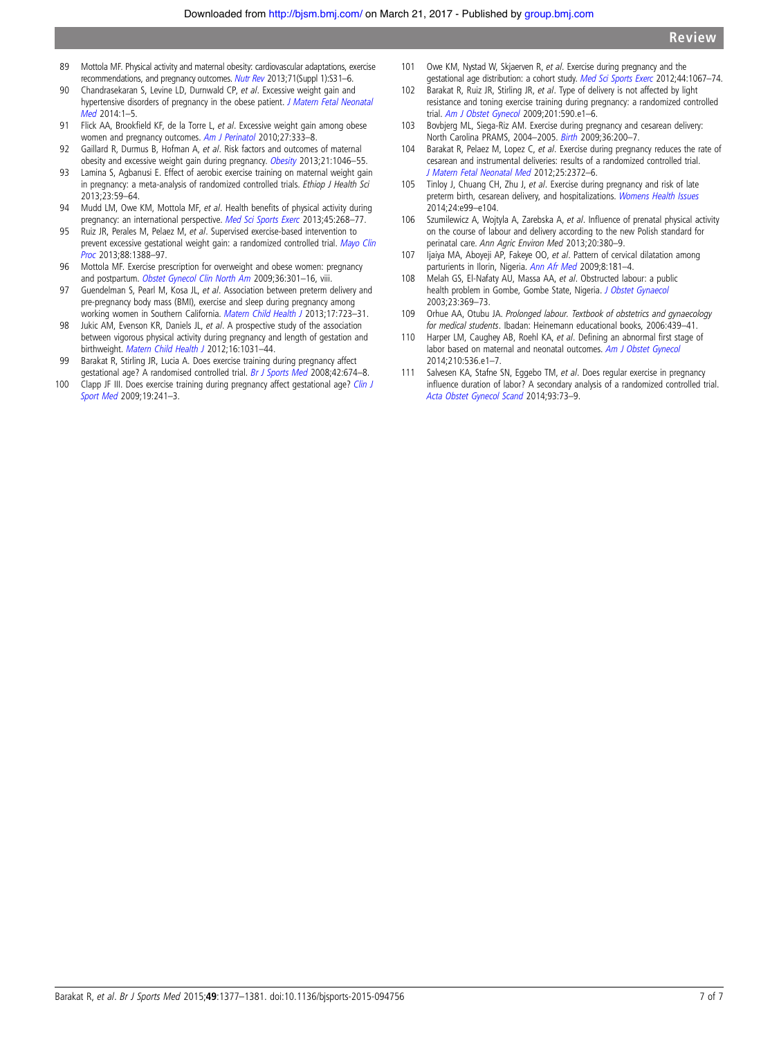- <span id="page-6-0"></span>89 Mottola MF. Physical activity and maternal obesity: cardiovascular adaptations, exercise recommendations, and pregnancy outcomes. [Nutr Rev](http://dx.doi.org/10.1111/nure.12064) 2013;71(Suppl 1):S31–6.
- 90 Chandrasekaran S, Levine LD, Durnwald CP, et al. Excessive weight gain and hypertensive disorders of pregnancy in the obese patient. [J Matern Fetal Neonatal](http://dx.doi.org/10.3109/14767058.2014.991709) [Med](http://dx.doi.org/10.3109/14767058.2014.991709) 2014:1–5.
- 91 Flick AA, Brookfield KF, de la Torre L, et al. Excessive weight gain among obese women and pregnancy outcomes. [Am J Perinatol](http://dx.doi.org/10.1055/s-0029-1243304) 2010;27:333-8.
- 92 Gaillard R, Durmus B, Hofman A, et al. Risk factors and outcomes of maternal obesity and excessive weight gain during pregnancy. [Obesity](http://dx.doi.org/10.1002/oby.20088) 2013;21:1046-55.
- 93 Lamina S, Agbanusi E. Effect of aerobic exercise training on maternal weight gain in pregnancy: a meta-analysis of randomized controlled trials. Ethiop J Health Sci 2013;23:59–64.
- 94 Mudd LM, Owe KM, Mottola MF, et al. Health benefits of physical activity during pregnancy: an international perspective. [Med Sci Sports Exerc](http://dx.doi.org/10.1249/MSS.0b013e31826cebcb) 2013;45:268-77.
- 95 Ruiz JR, Perales M, Pelaez M, et al. Supervised exercise-based intervention to prevent excessive gestational weight gain: a randomized controlled trial. [Mayo Clin](http://dx.doi.org/10.1016/j.mayocp.2013.07.020) [Proc](http://dx.doi.org/10.1016/j.mayocp.2013.07.020) 2013;88:1388–97.
- 96 Mottola MF. Exercise prescription for overweight and obese women: pregnancy and postpartum. [Obstet Gynecol Clin North Am](http://dx.doi.org/10.1016/j.ogc.2009.03.005) 2009;36:301-16, viii.
- 97 Guendelman S, Pearl M, Kosa JL, et al. Association between preterm delivery and pre-pregnancy body mass (BMI), exercise and sleep during pregnancy among working women in Southern California. [Matern Child Health J](http://dx.doi.org/10.1007/s10995-012-1052-5) 2013;17:723–31.
- 98 Jukic AM, Evenson KR, Daniels JL, et al. A prospective study of the association between vigorous physical activity during pregnancy and length of gestation and birthweight. [Matern Child Health J](http://dx.doi.org/10.1007/s10995-011-0831-8) 2012;16:1031-44.
- 99 Barakat R, Stirling JR, Lucia A. Does exercise training during pregnancy affect gestational age? A randomised controlled trial. [Br J Sports Med](http://dx.doi.org/10.1136/bjsm.2008.047837) 2008;42:674-8.
- 100 Clapp JF III. Does exercise training during pregnancy affect gestational age? [Clin J](http://dx.doi.org/10.1097/01.jsm.0000347356.41069.6e) [Sport Med](http://dx.doi.org/10.1097/01.jsm.0000347356.41069.6e) 2009;19:241–3.
- 101 Owe KM, Nystad W, Skjaerven R, et al. Exercise during pregnancy and the gestational age distribution: a cohort study. [Med Sci Sports Exerc](http://dx.doi.org/10.1249/MSS.0b013e3182442fc9) 2012;44:1067-74.
- 102 Barakat R, Ruiz JR, Stirling JR, et al. Type of delivery is not affected by light resistance and toning exercise training during pregnancy: a randomized controlled trial. [Am J Obstet Gynecol](http://dx.doi.org/10.1016/j.ajog.2009.06.004) 2009;201:590.e1–6.
- 103 Bovbjerg ML, Siega-Riz AM. Exercise during pregnancy and cesarean delivery: North Carolina PRAMS, 2004–2005. [Birth](http://dx.doi.org/10.1111/j.1523-536X.2009.00324.x) 2009;36:200–7.
- 104 Barakat R, Pelaez M, Lopez C, et al. Exercise during pregnancy reduces the rate of cesarean and instrumental deliveries: results of a randomized controlled trial. [J Matern Fetal Neonatal Med](http://dx.doi.org/10.3109/14767058.2012.696165) 2012;25:2372–6.
- 105 Tinloy J, Chuang CH, Zhu J, et al. Exercise during pregnancy and risk of late preterm birth, cesarean delivery, and hospitalizations. [Womens Health Issues](http://dx.doi.org/10.1016/j.whi.2013.11.003) 2014;24:e99–e104.
- 106 Szumilewicz A, Wojtyla A, Zarebska A, et al. Influence of prenatal physical activity on the course of labour and delivery according to the new Polish standard for perinatal care. Ann Agric Environ Med 2013;20:380–9.
- 107 Ijaiya MA, Aboyeji AP, Fakeye OO, et al. Pattern of cervical dilatation among parturients in Ilorin, Nigeria. [Ann Afr Med](http://dx.doi.org/10.4103/1596-3519.55767) 2009;8:181–4.
- 108 Melah GS, El-Nafaty AU, Massa AA, et al. Obstructed labour: a public health problem in Gombe, Gombe State, Nigeria. [J Obstet Gynaecol](http://dx.doi.org/10.1080/01443610310001119510) 2003;23:369–73.
- 109 Orhue AA, Otubu JA. Prolonged labour. Textbook of obstetrics and gynaecology for medical students. Ibadan: Heinemann educational books, 2006:439–41.
- 110 Harper LM, Caughey AB, Roehl KA, et al. Defining an abnormal first stage of labor based on maternal and neonatal outcomes. [Am J Obstet Gynecol](http://dx.doi.org/10.1016/j.ajog.2013.12.027) 2014;210:536.e1–7.
- 111 Salvesen KA, Stafne SN, Eggebo TM, et al. Does regular exercise in pregnancy influence duration of labor? A secondary analysis of a randomized controlled trial. [Acta Obstet Gynecol Scand](http://dx.doi.org/10.1111/aogs.12260) 2014;93:73–9.